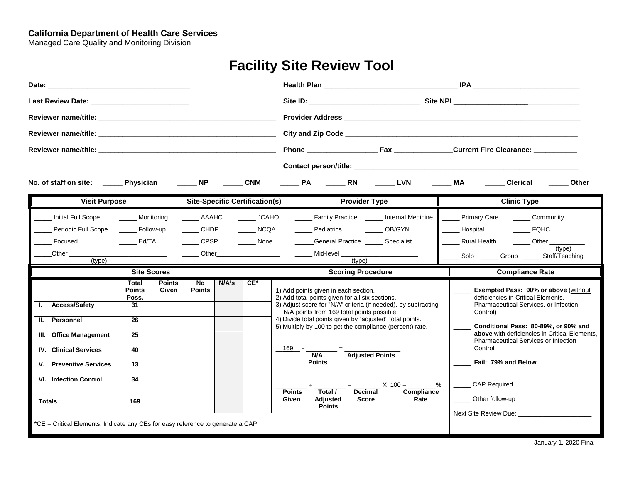#### **California Department of Health Care Services**

Managed Care Quality and Monitoring Division

# **Facility Site Review Tool**

| No. of staff on site: ________ Physician ___________ NP _______                                  |                                 |                        |                            |       | <b>CNM</b>                                    |                                                                                                                                                                                                                                      |                                                                                                       | Clerical<br>Other                                                                                      |
|--------------------------------------------------------------------------------------------------|---------------------------------|------------------------|----------------------------|-------|-----------------------------------------------|--------------------------------------------------------------------------------------------------------------------------------------------------------------------------------------------------------------------------------------|-------------------------------------------------------------------------------------------------------|--------------------------------------------------------------------------------------------------------|
| <b>Visit Purpose</b>                                                                             |                                 |                        |                            |       | <b>Site-Specific Certification(s)</b>         | <b>Provider Type</b>                                                                                                                                                                                                                 |                                                                                                       | <b>Clinic Type</b>                                                                                     |
| Initial Full Scope<br>Periodic Full Scope                                                        | Monitoring<br>_____ Follow-up   |                        | AAAHC<br>CHDP              |       | <b>JCAHO</b><br>$\overline{\phantom{1}}$ NCQA | Pediatrics OB/GYN                                                                                                                                                                                                                    | Family Practice _______ Internal Medicine                                                             | ______ Primary Care _______ Community<br>Hospital FQHC                                                 |
| Focused<br>$Other$ <sub><math>\_\_\</math></sub><br>(type)                                       | Ed/TA                           |                        | <b>CPSP</b><br>Other       |       | <b>None</b>                                   | General Practice ______ Specialist<br>(type)                                                                                                                                                                                         | Mid-level <b>Example 19</b>                                                                           | Rural Health ________ Other __________<br>(type)<br>_______ Solo ________ Group _______ Staff/Teaching |
|                                                                                                  | <b>Site Scores</b>              |                        |                            |       |                                               | <b>Scoring Procedure</b>                                                                                                                                                                                                             |                                                                                                       | <b>Compliance Rate</b>                                                                                 |
|                                                                                                  | Total<br><b>Points</b><br>Poss. | <b>Points</b><br>Given | <b>No</b><br><b>Points</b> | N/A's | $CE^*$                                        | 1) Add points given in each section.<br>2) Add total points given for all six sections.                                                                                                                                              |                                                                                                       | <b>Exempted Pass: 90% or above (without</b><br>deficiencies in Critical Elements.                      |
| I. Access/Safety<br>II. Personnel                                                                | 31<br>26                        |                        |                            |       |                                               | 3) Adjust score for "N/A" criteria (if needed), by subtracting<br>N/A points from 169 total points possible.<br>4) Divide total points given by "adjusted" total points.<br>5) Multiply by 100 to get the compliance (percent) rate. |                                                                                                       | Pharmaceutical Services, or Infection<br>Control)<br>Conditional Pass: 80-89%, or 90% and              |
| III. Office Management<br><b>IV.</b> Clinical Services                                           | 25<br>40                        |                        |                            |       |                                               |                                                                                                                                                                                                                                      |                                                                                                       | above with deficiencies in Critical Elements,<br>Pharmaceutical Services or Infection<br>Control       |
| V. Preventive Services                                                                           | 13                              |                        |                            |       |                                               | N/A<br><b>Points</b>                                                                                                                                                                                                                 | <b>Adjusted Points</b>                                                                                | Fail: 79% and Below                                                                                    |
| <b>VI.</b> Infection Control                                                                     | 34                              |                        |                            |       |                                               | Total /<br><b>Points</b>                                                                                                                                                                                                             | $\frac{1}{2}$ = $\frac{1}{2}$ = $\frac{1}{2}$ × 100 = $\frac{1}{2}$ %<br>Compliance<br><b>Decimal</b> | ______ CAP Required                                                                                    |
| <b>Totals</b><br>*CE = Critical Elements. Indicate any CEs for easy reference to generate a CAP. | 169                             |                        |                            |       |                                               | Given<br>Adjusted<br><b>Points</b>                                                                                                                                                                                                   | Rate<br><b>Score</b>                                                                                  | ______ Other follow-up                                                                                 |

January 1, 2020 Final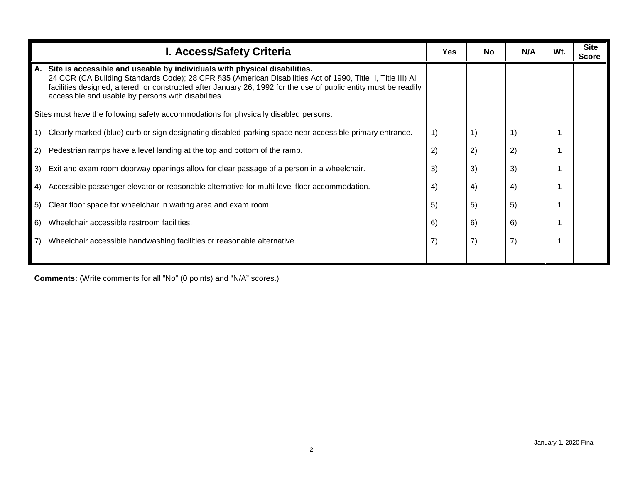| I. Access/Safety Criteria                                                                                                                                                                                                                                                                                                                                                  | Yes | <b>No</b> | N/A | Wt. | <b>Site</b><br><b>Score</b> |
|----------------------------------------------------------------------------------------------------------------------------------------------------------------------------------------------------------------------------------------------------------------------------------------------------------------------------------------------------------------------------|-----|-----------|-----|-----|-----------------------------|
| Site is accessible and useable by individuals with physical disabilities.<br>А.<br>24 CCR (CA Building Standards Code); 28 CFR §35 (American Disabilities Act of 1990, Title II, Title III) All<br>facilities designed, altered, or constructed after January 26, 1992 for the use of public entity must be readily<br>accessible and usable by persons with disabilities. |     |           |     |     |                             |
| Sites must have the following safety accommodations for physically disabled persons:                                                                                                                                                                                                                                                                                       |     |           |     |     |                             |
| Clearly marked (blue) curb or sign designating disabled-parking space near accessible primary entrance.                                                                                                                                                                                                                                                                    | 1)  | 1)        | 1)  |     |                             |
| Pedestrian ramps have a level landing at the top and bottom of the ramp.<br>2)                                                                                                                                                                                                                                                                                             | 2)  | 2)        | 2)  |     |                             |
| 3)<br>Exit and exam room doorway openings allow for clear passage of a person in a wheelchair.                                                                                                                                                                                                                                                                             | 3)  | 3)        | 3)  |     |                             |
| Accessible passenger elevator or reasonable alternative for multi-level floor accommodation.<br>-4)                                                                                                                                                                                                                                                                        | 4)  | 4)        | 4)  |     |                             |
| Clear floor space for wheelchair in waiting area and exam room.<br>l 5)                                                                                                                                                                                                                                                                                                    | 5)  | 5)        | 5)  |     |                             |
| Wheelchair accessible restroom facilities.<br>l 6)                                                                                                                                                                                                                                                                                                                         | 6)  | 6)        | 6)  |     |                             |
| Wheelchair accessible handwashing facilities or reasonable alternative.                                                                                                                                                                                                                                                                                                    |     | 7)        | 7)  |     |                             |
|                                                                                                                                                                                                                                                                                                                                                                            |     |           |     |     |                             |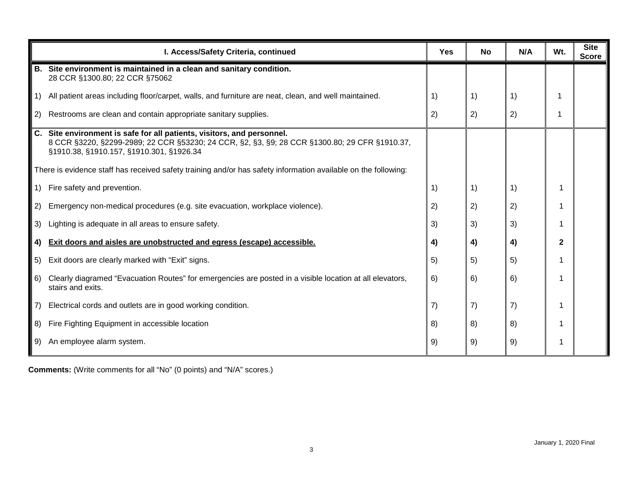|                                                | I. Access/Safety Criteria, continued                                                                                                                                                                                | <b>Yes</b> | <b>No</b> | N/A                                            | Wt. | <b>Site</b><br><b>Score</b> |
|------------------------------------------------|---------------------------------------------------------------------------------------------------------------------------------------------------------------------------------------------------------------------|------------|-----------|------------------------------------------------|-----|-----------------------------|
| <b>B.</b>                                      | Site environment is maintained in a clean and sanitary condition.<br>28 CCR §1300.80; 22 CCR §75062                                                                                                                 |            |           |                                                |     |                             |
| $\vert 1)$                                     | All patient areas including floor/carpet, walls, and furniture are neat, clean, and well maintained.                                                                                                                | 1)         | 1)        | 1)                                             |     |                             |
| 2)                                             | Restrooms are clean and contain appropriate sanitary supplies.                                                                                                                                                      | 2)         | 2)        | 2)                                             |     |                             |
|                                                | C. Site environment is safe for all patients, visitors, and personnel.<br>8 CCR §3220, §2299-2989; 22 CCR §53230; 24 CCR, §2, §3, §9; 28 CCR §1300.80; 29 CFR §1910.37,<br>§1910.38, §1910.157, §1910.301, §1926.34 |            |           |                                                |     |                             |
|                                                | There is evidence staff has received safety training and/or has safety information available on the following:                                                                                                      |            |           |                                                |     |                             |
| $\left( \begin{matrix} 1 \end{matrix} \right)$ | Fire safety and prevention.                                                                                                                                                                                         | 1)         | 1)        | $\left( \begin{matrix} 1 \end{matrix} \right)$ |     |                             |
| 2)                                             | Emergency non-medical procedures (e.g. site evacuation, workplace violence).                                                                                                                                        | 2)         | 2)        | 2)                                             |     |                             |
| 3)                                             | Lighting is adequate in all areas to ensure safety.                                                                                                                                                                 | 3)         | 3)        | 3)                                             |     |                             |
| 4)                                             | Exit doors and aisles are unobstructed and egress (escape) accessible.                                                                                                                                              | 4)         | 4)        | 4)                                             | 2   |                             |
| 5)                                             | Exit doors are clearly marked with "Exit" signs.                                                                                                                                                                    | 5)         | 5)        | 5)                                             |     |                             |
| 6)                                             | Clearly diagramed "Evacuation Routes" for emergencies are posted in a visible location at all elevators,<br>stairs and exits.                                                                                       | 6)         | 6)        | 6)                                             |     |                             |
| 7)                                             | Electrical cords and outlets are in good working condition.                                                                                                                                                         | 7)         | 7)        | 7)                                             |     |                             |
| 8)                                             | Fire Fighting Equipment in accessible location                                                                                                                                                                      | 8)         | 8)        | 8)                                             |     |                             |
| 9)                                             | An employee alarm system.                                                                                                                                                                                           | 9)         | 9)        | 9)                                             |     |                             |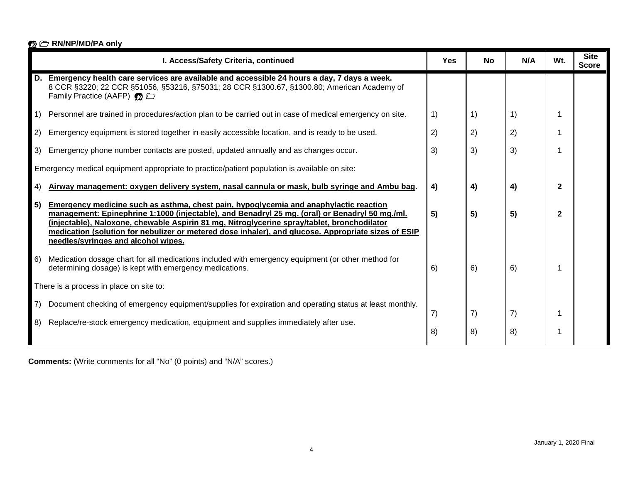| <b>⑦ C RN/NP/MD/PA only</b>                                                                                                                                                                                                                                                                                                                                                                                                                |            |           |     |              |                             |
|--------------------------------------------------------------------------------------------------------------------------------------------------------------------------------------------------------------------------------------------------------------------------------------------------------------------------------------------------------------------------------------------------------------------------------------------|------------|-----------|-----|--------------|-----------------------------|
| I. Access/Safety Criteria, continued                                                                                                                                                                                                                                                                                                                                                                                                       | <b>Yes</b> | <b>No</b> | N/A | Wt.          | <b>Site</b><br><b>Score</b> |
| D.<br>Emergency health care services are available and accessible 24 hours a day, 7 days a week.<br>8 CCR §3220; 22 CCR §51056, §53216, §75031; 28 CCR §1300.67, §1300.80; American Academy of<br>Family Practice (AAFP) <b>**</b>                                                                                                                                                                                                         |            |           |     |              |                             |
| Personnel are trained in procedures/action plan to be carried out in case of medical emergency on site.                                                                                                                                                                                                                                                                                                                                    | 1)         | 1)        | 1)  |              |                             |
| Emergency equipment is stored together in easily accessible location, and is ready to be used.<br>2)                                                                                                                                                                                                                                                                                                                                       | 2)         | 2)        | 2)  |              |                             |
| Emergency phone number contacts are posted, updated annually and as changes occur.<br>3)                                                                                                                                                                                                                                                                                                                                                   | 3)         | 3)        | 3)  |              |                             |
| Emergency medical equipment appropriate to practice/patient population is available on site:                                                                                                                                                                                                                                                                                                                                               |            |           |     |              |                             |
| Airway management: oxygen delivery system, nasal cannula or mask, bulb syringe and Ambu bag.<br>4)                                                                                                                                                                                                                                                                                                                                         | 4)         | 4)        | 4)  | $\mathbf{2}$ |                             |
| 5)<br>Emergency medicine such as asthma, chest pain, hypoglycemia and anaphylactic reaction<br>management: Epinephrine 1:1000 (injectable), and Benadryl 25 mg. (oral) or Benadryl 50 mg./ml.<br>(injectable), Naloxone, chewable Aspirin 81 mg, Nitroglycerine spray/tablet, bronchodilator<br>medication (solution for nebulizer or metered dose inhaler), and glucose. Appropriate sizes of ESIP<br>needles/syringes and alcohol wipes. | 5)         | 5)        | 5)  | $\mathbf{2}$ |                             |
| Medication dosage chart for all medications included with emergency equipment (or other method for<br>6)<br>determining dosage) is kept with emergency medications.                                                                                                                                                                                                                                                                        | 6)         | 6)        | 6)  |              |                             |
| There is a process in place on site to:                                                                                                                                                                                                                                                                                                                                                                                                    |            |           |     |              |                             |
| 7)<br>Document checking of emergency equipment/supplies for expiration and operating status at least monthly.<br>8)<br>Replace/re-stock emergency medication, equipment and supplies immediately after use.                                                                                                                                                                                                                                | 7)         | 7)        | 7)  | 1            |                             |
|                                                                                                                                                                                                                                                                                                                                                                                                                                            | 8)         | 8)        | 8)  |              |                             |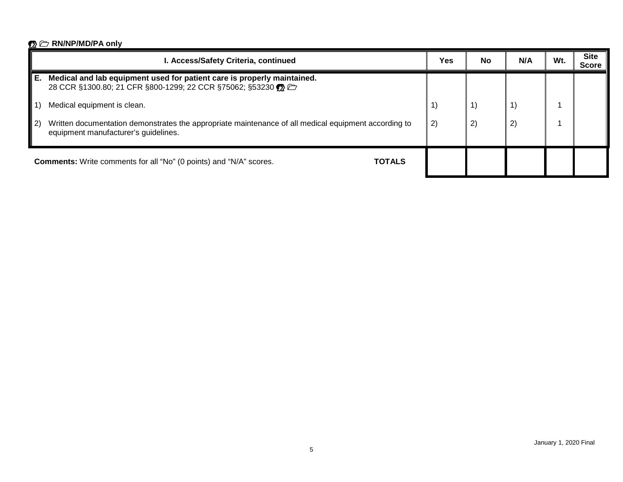|    | I. Access/Safety Criteria, continued                                                                                                         | Yes          | No | N/A                   | Wt. | <b>Site</b><br><b>Score</b> |
|----|----------------------------------------------------------------------------------------------------------------------------------------------|--------------|----|-----------------------|-----|-----------------------------|
| Е. | Medical and lab equipment used for patient care is properly maintained.<br>28 CCR §1300.80; 21 CFR §800-1299; 22 CCR §75062; §53230 ۞        |              |    |                       |     |                             |
|    | Medical equipment is clean.                                                                                                                  | $\mathbf{1}$ | 1) |                       |     |                             |
| 2) | Written documentation demonstrates the appropriate maintenance of all medical equipment according to<br>equipment manufacturer's guidelines. | 2)           | 2) | $\mathbf{2}^{\prime}$ |     |                             |
|    | <b>Comments:</b> Write comments for all "No" (0 points) and "N/A" scores.<br><b>TOTALS</b>                                                   |              |    |                       |     |                             |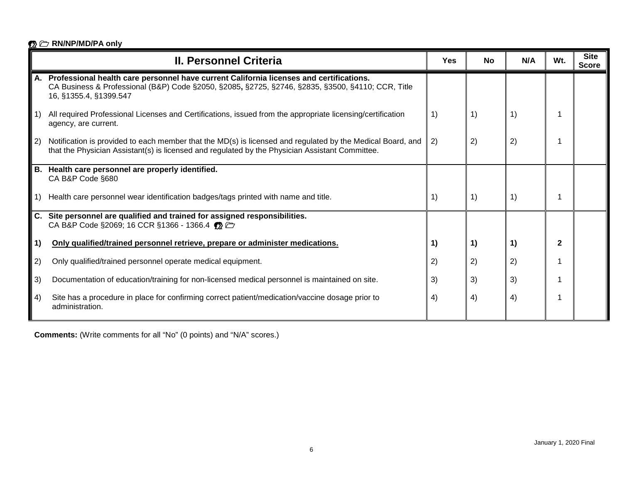|                  | <b>II. Personnel Criteria</b>                                                                                                                                                                                          | Yes | <b>No</b> | N/A | Wt.          | <b>Site</b><br><b>Score</b> |
|------------------|------------------------------------------------------------------------------------------------------------------------------------------------------------------------------------------------------------------------|-----|-----------|-----|--------------|-----------------------------|
| А.               | Professional health care personnel have current California licenses and certifications.<br>CA Business & Professional (B&P) Code §2050, §2085, §2725, §2746, §2835, §3500, §4110; CCR, Title<br>16, §1355.4, §1399.547 |     |           |     |              |                             |
| $\vert$ 1)       | All required Professional Licenses and Certifications, issued from the appropriate licensing/certification<br>agency, are current.                                                                                     | 1)  | 1)        | 1)  |              |                             |
| $\vert$ 2)       | Notification is provided to each member that the MD(s) is licensed and regulated by the Medical Board, and<br>that the Physician Assistant(s) is licensed and regulated by the Physician Assistant Committee.          | 2)  | 2)        | 2)  |              |                             |
| В.               | Health care personnel are properly identified.<br>CA B&P Code §680                                                                                                                                                     |     |           |     |              |                             |
| $\vert 1)$       | Health care personnel wear identification badges/tags printed with name and title.                                                                                                                                     | 1)  | 1)        | 1)  |              |                             |
|                  | C. Site personnel are qualified and trained for assigned responsibilities.<br>CA B&P Code §2069; 16 CCR §1366 - 1366.4                                                                                                 |     |           |     |              |                             |
| 1)               | Only qualified/trained personnel retrieve, prepare or administer medications.                                                                                                                                          | 1)  | 1)        | 1)  | $\mathbf{2}$ |                             |
| 2)               | Only qualified/trained personnel operate medical equipment.                                                                                                                                                            | 2)  | 2)        | 2)  |              |                             |
| 3)               | Documentation of education/training for non-licensed medical personnel is maintained on site.                                                                                                                          | 3)  | 3)        | 3)  |              |                             |
| $\vert 4\rangle$ | Site has a procedure in place for confirming correct patient/medication/vaccine dosage prior to<br>administration.                                                                                                     | 4)  | 4)        | 4)  |              |                             |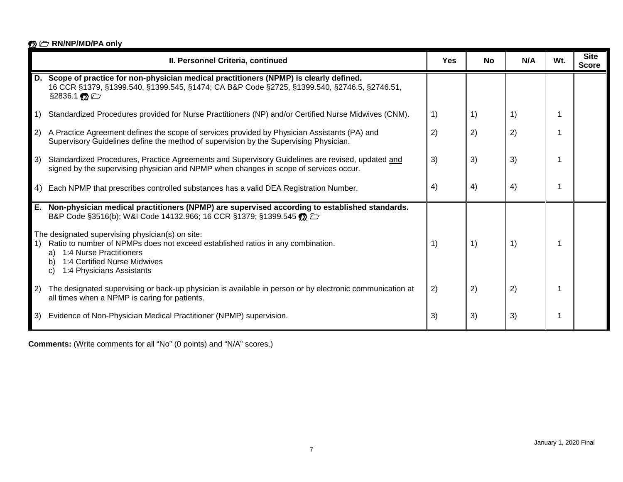|                   | II. Personnel Criteria, continued                                                                                                                                                                                                          | Yes | <b>No</b> | N/A | Wt. | <b>Site</b><br><b>Score</b> |
|-------------------|--------------------------------------------------------------------------------------------------------------------------------------------------------------------------------------------------------------------------------------------|-----|-----------|-----|-----|-----------------------------|
| D.                | Scope of practice for non-physician medical practitioners (NPMP) is clearly defined.<br>16 CCR §1379, §1399.540, §1399.545, §1474; CA B&P Code §2725, §1399.540, §2746.5, §2746.51,<br>$$2836.1$ $\odot$                                   |     |           |     |     |                             |
| 1)                | Standardized Procedures provided for Nurse Practitioners (NP) and/or Certified Nurse Midwives (CNM).                                                                                                                                       | 1)  | 1)        | 1)  |     |                             |
| $\vert 2 \rangle$ | A Practice Agreement defines the scope of services provided by Physician Assistants (PA) and<br>Supervisory Guidelines define the method of supervision by the Supervising Physician.                                                      | 2)  | 2)        | 2)  |     |                             |
| $\vert 3\rangle$  | Standardized Procedures, Practice Agreements and Supervisory Guidelines are revised, updated and<br>signed by the supervising physician and NPMP when changes in scope of services occur.                                                  | 3)  | 3)        | 3)  |     |                             |
| 4)                | Each NPMP that prescribes controlled substances has a valid DEA Registration Number.                                                                                                                                                       | 4)  | 4)        | 4)  |     |                             |
| Е.                | Non-physician medical practitioners (NPMP) are supervised according to established standards.<br>B&P Code §3516(b); W&I Code 14132.966; 16 CCR §1379; §1399.545                                                                            |     |           |     |     |                             |
| -1)               | The designated supervising physician(s) on site:<br>Ratio to number of NPMPs does not exceed established ratios in any combination.<br>a) 1:4 Nurse Practitioners<br>1:4 Certified Nurse Midwives<br>b)<br>1:4 Physicians Assistants<br>C) | 1)  | 1)        | 1)  |     |                             |
| 2)                | The designated supervising or back-up physician is available in person or by electronic communication at<br>all times when a NPMP is caring for patients.                                                                                  | 2)  | 2)        | 2)  |     |                             |
| $\vert 3\rangle$  | Evidence of Non-Physician Medical Practitioner (NPMP) supervision.                                                                                                                                                                         | 3)  | 3)        | 3)  |     |                             |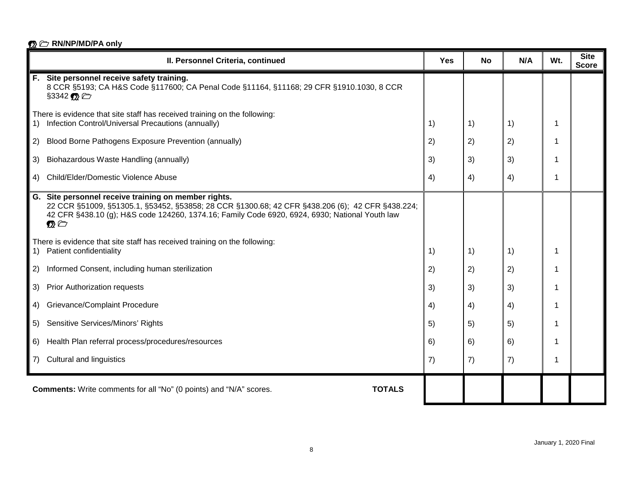|    | II. Personnel Criteria, continued                                                                                                                                                                                                                                     | <b>Yes</b> | <b>No</b> | N/A | Wt. | <b>Site</b><br><b>Score</b> |
|----|-----------------------------------------------------------------------------------------------------------------------------------------------------------------------------------------------------------------------------------------------------------------------|------------|-----------|-----|-----|-----------------------------|
|    | F. Site personnel receive safety training.<br>8 CCR §5193; CA H&S Code §117600; CA Penal Code §11164, §11168; 29 CFR §1910.1030, 8 CCR<br>§3342 <b>12</b>                                                                                                             |            |           |     |     |                             |
| 1) | There is evidence that site staff has received training on the following:<br>Infection Control/Universal Precautions (annually)                                                                                                                                       | 1)         | 1)        | 1)  | 1   |                             |
| 2) | Blood Borne Pathogens Exposure Prevention (annually)                                                                                                                                                                                                                  | 2)         | 2)        | 2)  | -1  |                             |
| 3) | Biohazardous Waste Handling (annually)                                                                                                                                                                                                                                | 3)         | 3)        | 3)  | 1   |                             |
| 4) | Child/Elder/Domestic Violence Abuse                                                                                                                                                                                                                                   | 4)         | 4)        | 4)  | 1   |                             |
|    | G. Site personnel receive training on member rights.<br>22 CCR §51009, §51305.1, §53452, §53858; 28 CCR §1300.68; 42 CFR §438.206 (6); 42 CFR §438.224;<br>42 CFR §438.10 (g); H&S code 124260, 1374.16; Family Code 6920, 6924, 6930; National Youth law<br>$\Omega$ |            |           |     |     |                             |
| 1) | There is evidence that site staff has received training on the following:<br>Patient confidentiality                                                                                                                                                                  | 1)         | 1)        | 1)  | -1  |                             |
| 2) | Informed Consent, including human sterilization                                                                                                                                                                                                                       | 2)         | 2)        | 2)  | 1   |                             |
| 3) | <b>Prior Authorization requests</b>                                                                                                                                                                                                                                   | 3)         | 3)        | 3)  |     |                             |
| 4) | <b>Grievance/Complaint Procedure</b>                                                                                                                                                                                                                                  | 4)         | 4)        | 4)  | 1   |                             |
| 5) | Sensitive Services/Minors' Rights                                                                                                                                                                                                                                     | 5)         | 5)        | 5)  | -1  |                             |
| 6) | Health Plan referral process/procedures/resources                                                                                                                                                                                                                     | 6)         | 6)        | 6)  | 1   |                             |
| 7) | <b>Cultural and linguistics</b>                                                                                                                                                                                                                                       | 7)         | 7)        | 7)  |     |                             |
|    | <b>TOTALS</b><br><b>Comments:</b> Write comments for all "No" (0 points) and "N/A" scores.                                                                                                                                                                            |            |           |     |     |                             |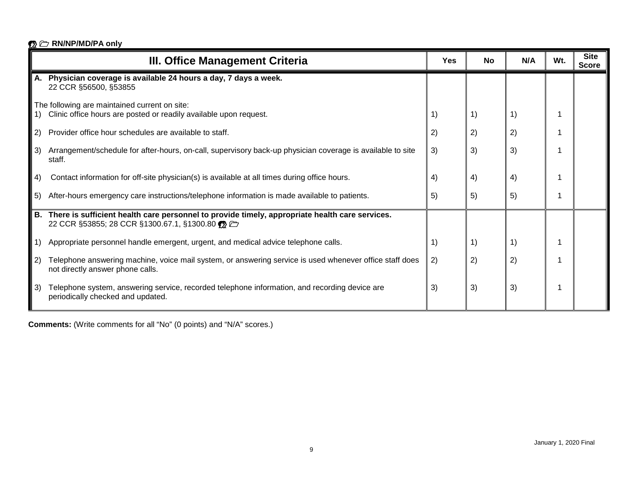|             | III. Office Management Criteria                                                                                                                | Yes | <b>No</b> | N/A | W <sub>t</sub> | <b>Site</b><br><b>Score</b> |
|-------------|------------------------------------------------------------------------------------------------------------------------------------------------|-----|-----------|-----|----------------|-----------------------------|
|             | A. Physician coverage is available 24 hours a day, 7 days a week.<br>22 CCR §56500, §53855                                                     |     |           |     |                |                             |
|             | The following are maintained current on site:                                                                                                  |     |           |     |                |                             |
|             | Clinic office hours are posted or readily available upon request.                                                                              | 1)  | 1)        | 1)  |                |                             |
| 2)          | Provider office hour schedules are available to staff.                                                                                         | 2)  | 2)        | 2)  |                |                             |
| $ 3\rangle$ | Arrangement/schedule for after-hours, on-call, supervisory back-up physician coverage is available to site<br>staff.                           | 3)  | 3)        | 3)  |                |                             |
| 4)          | Contact information for off-site physician(s) is available at all times during office hours.                                                   | 4)  | 4)        | 4)  |                |                             |
| 5)          | After-hours emergency care instructions/telephone information is made available to patients.                                                   | 5)  | 5)        | 5)  |                |                             |
| В.          | There is sufficient health care personnel to provide timely, appropriate health care services.<br>22 CCR §53855; 28 CCR §1300.67.1, §1300.80 % |     |           |     |                |                             |
| 1)          | Appropriate personnel handle emergent, urgent, and medical advice telephone calls.                                                             | 1)  | 1)        | 1)  |                |                             |
| 2)          | Telephone answering machine, voice mail system, or answering service is used whenever office staff does<br>not directly answer phone calls.    | 2)  | 2)        | 2)  |                |                             |
| 3)          | Telephone system, answering service, recorded telephone information, and recording device are<br>periodically checked and updated.             | 3)  | 3)        | 3)  |                |                             |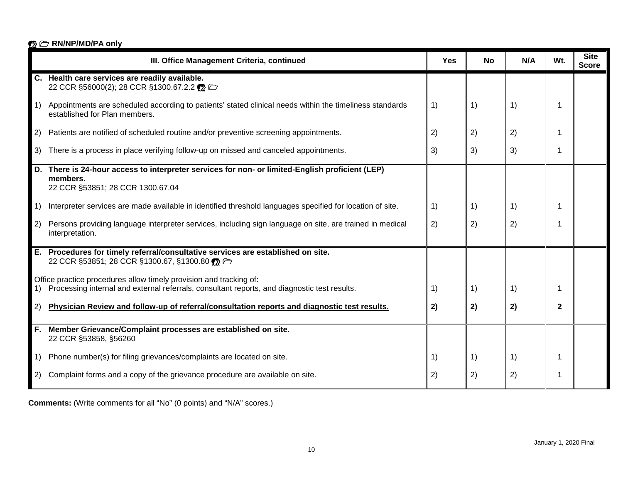|                   | III. Office Management Criteria, continued                                                                                                                         | <b>Yes</b> | <b>No</b> | N/A                                            | Wt.          | <b>Site</b><br><b>Score</b> |
|-------------------|--------------------------------------------------------------------------------------------------------------------------------------------------------------------|------------|-----------|------------------------------------------------|--------------|-----------------------------|
|                   | C. Health care services are readily available.<br>22 CCR §56000(2); 28 CCR §1300.67.2.2 % 口                                                                        |            |           |                                                |              |                             |
| $\vert$ 1)        | Appointments are scheduled according to patients' stated clinical needs within the timeliness standards<br>established for Plan members.                           | 1)         | 1)        | $\left( \begin{matrix} 1 \end{matrix} \right)$ | 1            |                             |
| 2)                | Patients are notified of scheduled routine and/or preventive screening appointments.                                                                               | 2)         | 2)        | 2)                                             | 1            |                             |
| 3)                | There is a process in place verifying follow-up on missed and canceled appointments.                                                                               | 3)         | 3)        | 3)                                             | 1            |                             |
| D.                | There is 24-hour access to interpreter services for non- or limited-English proficient (LEP)<br>members.<br>22 CCR §53851; 28 CCR 1300.67.04                       |            |           |                                                |              |                             |
| $\vert 1)$        | Interpreter services are made available in identified threshold languages specified for location of site.                                                          | 1)         | 1)        | 1)                                             | 1            |                             |
| $\vert 2 \rangle$ | Persons providing language interpreter services, including sign language on site, are trained in medical<br>interpretation.                                        | 2)         | 2)        | 2)                                             | 1            |                             |
| Е.                | Procedures for timely referral/consultative services are established on site.<br>22 CCR §53851; 28 CCR §1300.67, §1300.80 <b>%</b>                                 |            |           |                                                |              |                             |
| 1)                | Office practice procedures allow timely provision and tracking of:<br>Processing internal and external referrals, consultant reports, and diagnostic test results. | 1)         | 1)        | $\left( \begin{matrix} 1 \end{matrix} \right)$ | 1            |                             |
|                   |                                                                                                                                                                    |            |           |                                                |              |                             |
| 2)                | Physician Review and follow-up of referral/consultation reports and diagnostic test results.                                                                       | 2)         | 2)        | 2)                                             | $\mathbf{2}$ |                             |
| F.                | Member Grievance/Complaint processes are established on site.<br>22 CCR §53858, §56260                                                                             |            |           |                                                |              |                             |
| $\vert 1$         | Phone number(s) for filing grievances/complaints are located on site.                                                                                              | 1)         | 1)        | 1)                                             | 1            |                             |
| 2)                | Complaint forms and a copy of the grievance procedure are available on site.                                                                                       | 2)         | 2)        | 2)                                             | 1            |                             |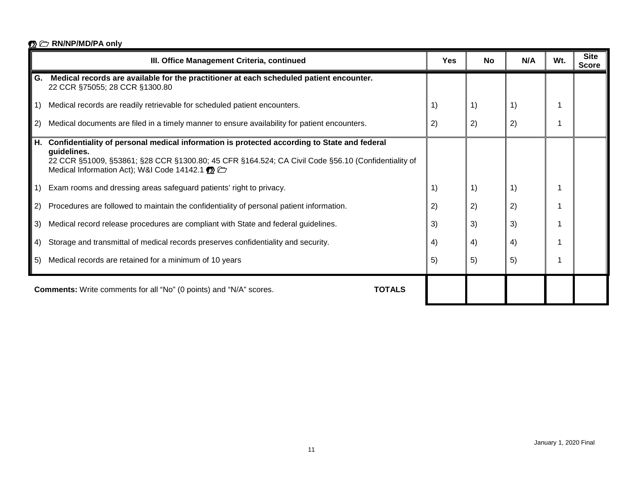|                                                 | III. Office Management Criteria, continued                                                                                                                                                                                                                     | Yes | <b>No</b>                                      | N/A | Wt. | <b>Site</b><br><b>Score</b> |
|-------------------------------------------------|----------------------------------------------------------------------------------------------------------------------------------------------------------------------------------------------------------------------------------------------------------------|-----|------------------------------------------------|-----|-----|-----------------------------|
| G.                                              | Medical records are available for the practitioner at each scheduled patient encounter.<br>22 CCR §75055; 28 CCR §1300.80                                                                                                                                      |     |                                                |     |     |                             |
| 1)                                              | Medical records are readily retrievable for scheduled patient encounters.                                                                                                                                                                                      | 1)  | $\left( \begin{matrix} 1 \end{matrix} \right)$ | 1)  |     |                             |
| 2)                                              | Medical documents are filed in a timely manner to ensure availability for patient encounters.                                                                                                                                                                  | 2)  | 2)                                             | 2)  |     |                             |
| Н.                                              | Confidentiality of personal medical information is protected according to State and federal<br>guidelines.<br>22 CCR §51009, §53861; §28 CCR §1300.80; 45 CFR §164.524; CA Civil Code §56.10 (Confidentiality of<br>Medical Information Act); W&I Code 14142.1 |     |                                                |     |     |                             |
| $\left( \begin{array}{c} 1 \end{array} \right)$ | Exam rooms and dressing areas safeguard patients' right to privacy.                                                                                                                                                                                            | 1)  | 1)                                             | 1)  |     |                             |
| 2)                                              | Procedures are followed to maintain the confidentiality of personal patient information.                                                                                                                                                                       | 2)  | 2)                                             | 2)  |     |                             |
| 3)                                              | Medical record release procedures are compliant with State and federal guidelines.                                                                                                                                                                             | 3)  | 3)                                             | 3)  |     |                             |
| 4)                                              | Storage and transmittal of medical records preserves confidentiality and security.                                                                                                                                                                             | 4)  | 4)                                             | 4)  |     |                             |
| 5)                                              | Medical records are retained for a minimum of 10 years                                                                                                                                                                                                         | 5)  | 5)                                             | 5)  |     |                             |
|                                                 | <b>Comments:</b> Write comments for all "No" (0 points) and "N/A" scores.<br><b>TOTALS</b>                                                                                                                                                                     |     |                                                |     |     |                             |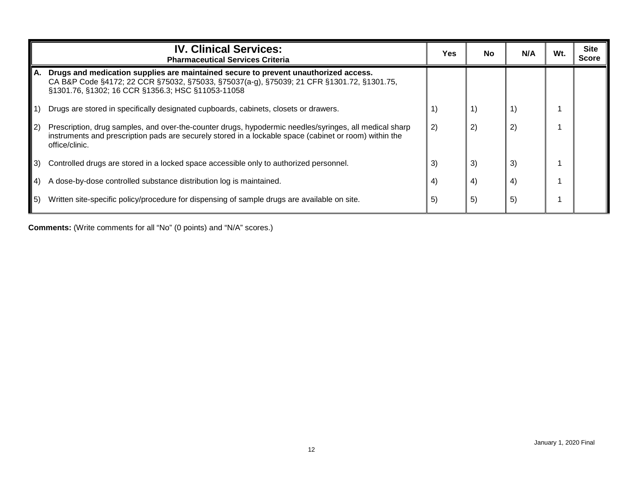|            | <b>IV. Clinical Services:</b><br><b>Pharmaceutical Services Criteria</b>                                                                                                                                                              | <b>Yes</b> | <b>No</b> | N/A | Wt. | <b>Site</b><br><b>Score</b> |
|------------|---------------------------------------------------------------------------------------------------------------------------------------------------------------------------------------------------------------------------------------|------------|-----------|-----|-----|-----------------------------|
| А.         | Drugs and medication supplies are maintained secure to prevent unauthorized access.<br>CA B&P Code §4172; 22 CCR §75032, §75033, §75037(a-g), §75039; 21 CFR §1301.72, §1301.75,<br>§1301.76, §1302; 16 CCR §1356.3; HSC §11053-11058 |            |           |     |     |                             |
| $\vert$ 1) | Drugs are stored in specifically designated cupboards, cabinets, closets or drawers.                                                                                                                                                  |            | 1)        |     |     |                             |
| $\vert$ 2) | Prescription, drug samples, and over-the-counter drugs, hypodermic needles/syringes, all medical sharp<br>instruments and prescription pads are securely stored in a lockable space (cabinet or room) within the<br>office/clinic.    | 2)         | 2)        | 2)  |     |                             |
| I 3)       | Controlled drugs are stored in a locked space accessible only to authorized personnel.                                                                                                                                                | 3)         | 3)        | 3)  |     |                             |
| (4)        | A dose-by-dose controlled substance distribution log is maintained.                                                                                                                                                                   | 4)         | 4)        | 4)  |     |                             |
| l 5)       | Written site-specific policy/procedure for dispensing of sample drugs are available on site.                                                                                                                                          | 5)         | 5)        | 5)  |     |                             |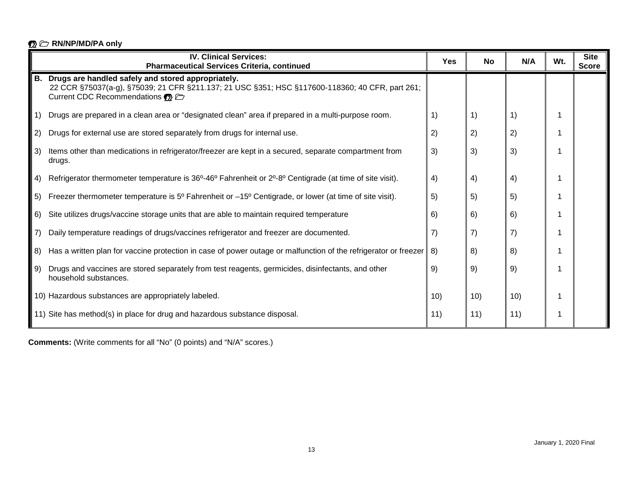|                   | <b>IV. Clinical Services:</b><br><b>Pharmaceutical Services Criteria, continued</b>                                                                                                               | <b>Yes</b> | <b>No</b> | N/A | Wt. | <b>Site</b><br><b>Score</b> |
|-------------------|---------------------------------------------------------------------------------------------------------------------------------------------------------------------------------------------------|------------|-----------|-----|-----|-----------------------------|
|                   | B. Drugs are handled safely and stored appropriately.<br>22 CCR §75037(a-g), §75039; 21 CFR §211.137; 21 USC §351; HSC §117600-118360; 40 CFR, part 261;<br>Current CDC Recommendations <b>OR</b> |            |           |     |     |                             |
| 1)                | Drugs are prepared in a clean area or "designated clean" area if prepared in a multi-purpose room.                                                                                                | 1)         | 1)        | 1)  |     |                             |
| 2)                | Drugs for external use are stored separately from drugs for internal use.                                                                                                                         | 2)         | 2)        | 2)  |     |                             |
| 3)                | Items other than medications in refrigerator/freezer are kept in a secured, separate compartment from<br>drugs.                                                                                   | 3)         | 3)        | 3)  |     |                             |
| 4)                | Refrigerator thermometer temperature is 36°-46° Fahrenheit or 2°-8° Centigrade (at time of site visit).                                                                                           | 4)         | 4)        | 4)  |     |                             |
| 5)                | Freezer thermometer temperature is $5^{\circ}$ Fahrenheit or $-15^{\circ}$ Centigrade, or lower (at time of site visit).                                                                          | 5)         | 5)        | 5)  |     |                             |
| 6)                | Site utilizes drugs/vaccine storage units that are able to maintain required temperature                                                                                                          | 6)         | 6)        | 6)  |     |                             |
| $\left( 7\right)$ | Daily temperature readings of drugs/vaccines refrigerator and freezer are documented.                                                                                                             | 7)         | 7)        | 7)  |     |                             |
| 8)                | Has a written plan for vaccine protection in case of power outage or malfunction of the refrigerator or freezer                                                                                   | 8)         | 8)        | 8)  |     |                             |
| 9)                | Drugs and vaccines are stored separately from test reagents, germicides, disinfectants, and other<br>household substances.                                                                        | 9)         | 9)        | 9)  |     |                             |
|                   | 10) Hazardous substances are appropriately labeled.                                                                                                                                               | 10)        | 10)       | 10) |     |                             |
|                   | 11) Site has method(s) in place for drug and hazardous substance disposal.                                                                                                                        | 11)        | 11)       | 11) |     |                             |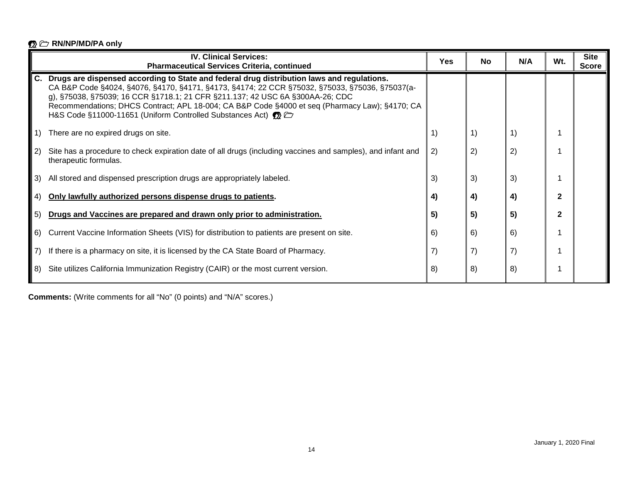|     | <b>IV. Clinical Services:</b><br><b>Pharmaceutical Services Criteria, continued</b>                                                                                                                                                                                                                                                                                                                                                                             | <b>Yes</b> | <b>No</b> | N/A | Wt. | <b>Site</b><br><b>Score</b> |
|-----|-----------------------------------------------------------------------------------------------------------------------------------------------------------------------------------------------------------------------------------------------------------------------------------------------------------------------------------------------------------------------------------------------------------------------------------------------------------------|------------|-----------|-----|-----|-----------------------------|
| С.  | Drugs are dispensed according to State and federal drug distribution laws and regulations.<br>CA B&P Code §4024, §4076, §4170, §4171, §4173, §4174; 22 CCR §75032, §75033, §75036, §75037(a-<br>g), §75038, §75039; 16 CCR §1718.1; 21 CFR §211.137; 42 USC 6A §300AA-26; CDC<br>Recommendations; DHCS Contract; APL 18-004; CA B&P Code §4000 et seq (Pharmacy Law); §4170; CA<br>H&S Code §11000-11651 (Uniform Controlled Substances Act) <b>the Control</b> |            |           |     |     |                             |
|     | There are no expired drugs on site.                                                                                                                                                                                                                                                                                                                                                                                                                             | 1)         | 1)        | 1)  |     |                             |
| -2) | Site has a procedure to check expiration date of all drugs (including vaccines and samples), and infant and<br>therapeutic formulas.                                                                                                                                                                                                                                                                                                                            | 2)         | 2)        | 2)  |     |                             |
| 3)  | All stored and dispensed prescription drugs are appropriately labeled.                                                                                                                                                                                                                                                                                                                                                                                          | 3)         | 3)        | 3)  |     |                             |
| -4) | Only lawfully authorized persons dispense drugs to patients.                                                                                                                                                                                                                                                                                                                                                                                                    | 4)         | 4)        | 4)  | 2   |                             |
| -5) | Drugs and Vaccines are prepared and drawn only prior to administration.                                                                                                                                                                                                                                                                                                                                                                                         | 5)         | 5)        | 5)  | 2   |                             |
| 6)  | Current Vaccine Information Sheets (VIS) for distribution to patients are present on site.                                                                                                                                                                                                                                                                                                                                                                      | 6)         | 6)        | 6)  |     |                             |
|     | If there is a pharmacy on site, it is licensed by the CA State Board of Pharmacy.                                                                                                                                                                                                                                                                                                                                                                               | 7)         | 7)        | 7)  |     |                             |
| 8)  | Site utilizes California Immunization Registry (CAIR) or the most current version.                                                                                                                                                                                                                                                                                                                                                                              | 8)         | 8)        | 8)  |     |                             |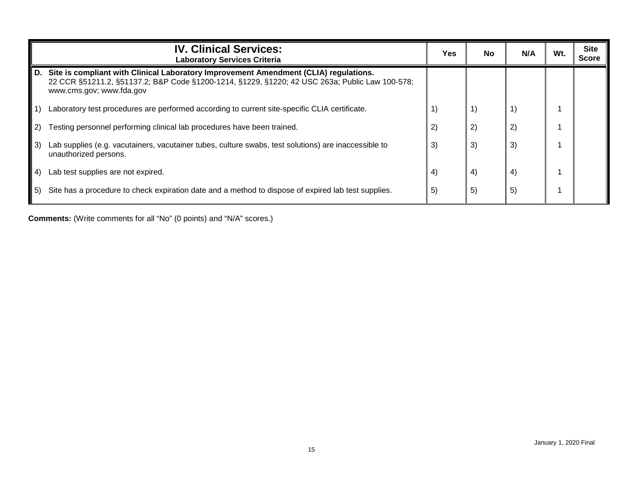|                   | <b>IV. Clinical Services:</b><br><b>Laboratory Services Criteria</b>                                                                                                                                               | <b>Yes</b> | <b>No</b>                                      | N/A | Wt. | <b>Site</b><br><b>Score</b> |
|-------------------|--------------------------------------------------------------------------------------------------------------------------------------------------------------------------------------------------------------------|------------|------------------------------------------------|-----|-----|-----------------------------|
| D.                | Site is compliant with Clinical Laboratory Improvement Amendment (CLIA) regulations.<br>22 CCR §51211.2, §51137.2; B&P Code §1200-1214, §1229, §1220; 42 USC 263a; Public Law 100-578;<br>www.cms.gov; www.fda.gov |            |                                                |     |     |                             |
| 1)                | Laboratory test procedures are performed according to current site-specific CLIA certificate.                                                                                                                      |            | $\left( \begin{matrix} 1 \end{matrix} \right)$ |     |     |                             |
| 2)                | Testing personnel performing clinical lab procedures have been trained.                                                                                                                                            | 2)         | 2)                                             | 2)  |     |                             |
| $\vert 3\rangle$  | Lab supplies (e.g. vacutainers, vacutainer tubes, culture swabs, test solutions) are inaccessible to<br>unauthorized persons.                                                                                      | 3)         | 3)                                             | 3)  |     |                             |
| $\vert 4 \rangle$ | Lab test supplies are not expired.                                                                                                                                                                                 | 4)         | $\left(4\right)$                               | 4)  |     |                             |
| l 5)              | Site has a procedure to check expiration date and a method to dispose of expired lab test supplies.                                                                                                                | 5)         | 5)                                             | 5)  |     |                             |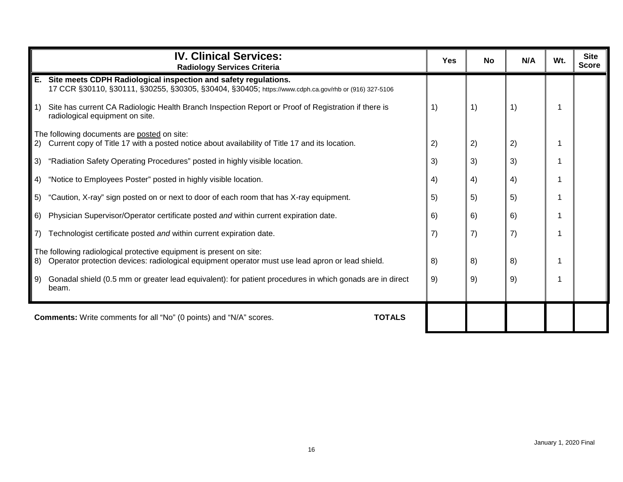|                                                 | <b>IV. Clinical Services:</b><br><b>Radiology Services Criteria</b>                                                                                                        | <b>Yes</b> | No | N/A | Wt. | <b>Site</b><br><b>Score</b> |
|-------------------------------------------------|----------------------------------------------------------------------------------------------------------------------------------------------------------------------------|------------|----|-----|-----|-----------------------------|
|                                                 | E. Site meets CDPH Radiological inspection and safety regulations.<br>17 CCR §30110, §30111, §30255, §30305, §30404, §30405; https://www.cdph.ca.gov/rhb or (916) 327-5106 |            |    |     |     |                             |
| $\left( \begin{array}{c} 1 \end{array} \right)$ | Site has current CA Radiologic Health Branch Inspection Report or Proof of Registration if there is<br>radiological equipment on site.                                     | 1)         | 1) | 1)  |     |                             |
|                                                 | The following documents are posted on site:<br>Current copy of Title 17 with a posted notice about availability of Title 17 and its location.                              |            | 2) |     |     |                             |
| 2)                                              |                                                                                                                                                                            | 2)         |    | 2)  |     |                             |
| 3)                                              | "Radiation Safety Operating Procedures" posted in highly visible location.                                                                                                 | 3)         | 3) | 3)  |     |                             |
| 4)                                              | "Notice to Employees Poster" posted in highly visible location.                                                                                                            | 4)         | 4) | 4)  |     |                             |
| 5)                                              | "Caution, X-ray" sign posted on or next to door of each room that has X-ray equipment.                                                                                     | 5)         | 5) | 5)  |     |                             |
| 6)                                              | Physician Supervisor/Operator certificate posted and within current expiration date.                                                                                       | 6)         | 6) | 6)  |     |                             |
| $\left( 7\right)$                               | Technologist certificate posted and within current expiration date.                                                                                                        | 7)         | 7) | 7)  |     |                             |
|                                                 | The following radiological protective equipment is present on site:                                                                                                        |            |    |     |     |                             |
| 8)                                              | Operator protection devices: radiological equipment operator must use lead apron or lead shield.                                                                           | 8)         | 8) | 8)  |     |                             |
| 9)                                              | Gonadal shield (0.5 mm or greater lead equivalent): for patient procedures in which gonads are in direct<br>beam.                                                          | 9)         | 9) | 9)  |     |                             |
|                                                 | <b>TOTALS</b><br><b>Comments:</b> Write comments for all "No" (0 points) and "N/A" scores.                                                                                 |            |    |     |     |                             |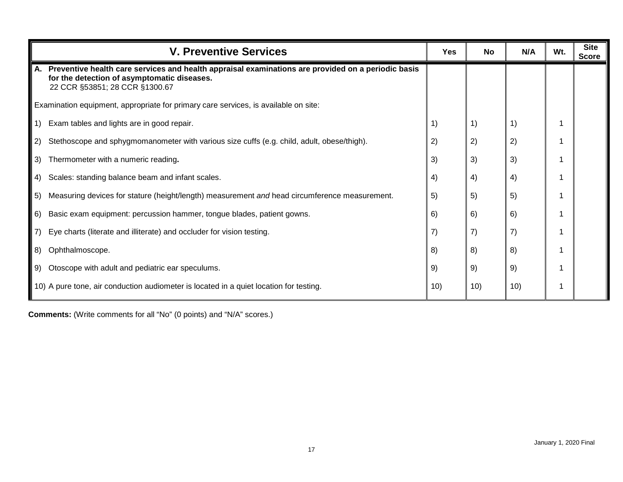|    | <b>V. Preventive Services</b>                                                                                                                                                          | <b>Yes</b> | <b>No</b>         | N/A | Wt. | <b>Site</b><br><b>Score</b> |
|----|----------------------------------------------------------------------------------------------------------------------------------------------------------------------------------------|------------|-------------------|-----|-----|-----------------------------|
|    | A. Preventive health care services and health appraisal examinations are provided on a periodic basis<br>for the detection of asymptomatic diseases.<br>22 CCR §53851; 28 CCR §1300.67 |            |                   |     |     |                             |
|    | Examination equipment, appropriate for primary care services, is available on site:                                                                                                    |            |                   |     |     |                             |
| 1) | Exam tables and lights are in good repair.                                                                                                                                             | 1)         | 1)                | 1)  |     |                             |
| 2) | Stethoscope and sphygmomanometer with various size cuffs (e.g. child, adult, obese/thigh).                                                                                             | 2)         | 2)                | 2)  |     |                             |
| 3) | Thermometer with a numeric reading.                                                                                                                                                    | 3)         | 3)                | 3)  |     |                             |
| 4) | Scales: standing balance beam and infant scales.                                                                                                                                       | 4)         | 4)                | 4)  |     |                             |
| 5) | Measuring devices for stature (height/length) measurement and head circumference measurement.                                                                                          | 5)         | 5)                | 5)  |     |                             |
| 6) | Basic exam equipment: percussion hammer, tongue blades, patient gowns.                                                                                                                 | 6)         | 6)                | 6)  |     |                             |
| 7) | Eye charts (literate and illiterate) and occluder for vision testing.                                                                                                                  | 7)         | $\left( 7\right)$ | 7)  |     |                             |
| 8) | Ophthalmoscope.                                                                                                                                                                        | 8)         | 8)                | 8)  |     |                             |
| 9) | Otoscope with adult and pediatric ear speculums.                                                                                                                                       | 9)         | 9)                | 9)  |     |                             |
|    | 10) A pure tone, air conduction audiometer is located in a quiet location for testing.                                                                                                 | 10)        | 10)               | 10) |     |                             |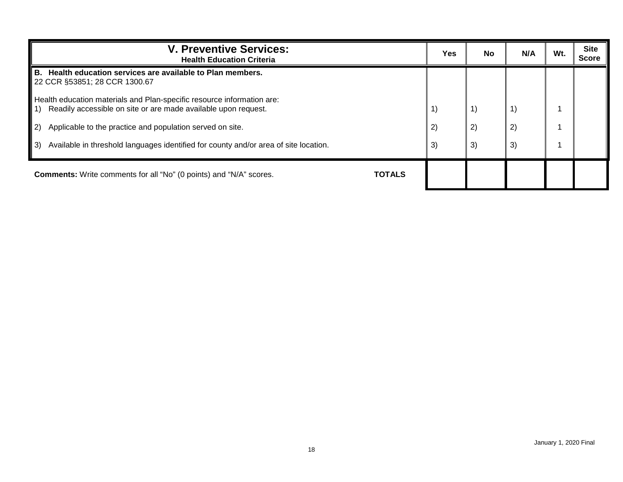| <b>V. Preventive Services:</b><br><b>Health Education Criteria</b>                                                                                     | Yes | <b>No</b> | N/A | Wt. | <b>Site</b><br><b>Score</b> |
|--------------------------------------------------------------------------------------------------------------------------------------------------------|-----|-----------|-----|-----|-----------------------------|
| B. Health education services are available to Plan members.<br>22 CCR §53851; 28 CCR 1300.67                                                           |     |           |     |     |                             |
| Health education materials and Plan-specific resource information are:<br>Readily accessible on site or are made available upon request.<br>$\vert$ 1) | 1)  |           |     |     |                             |
| $\left( 2\right)$<br>Applicable to the practice and population served on site.                                                                         | 2)  | 2)        | 2)  |     |                             |
| Available in threshold languages identified for county and/or area of site location.<br>3)                                                             | 3)  | 3)        | 3)  |     |                             |
| <b>TOTALS</b><br><b>Comments:</b> Write comments for all "No" (0 points) and "N/A" scores.                                                             |     |           |     |     |                             |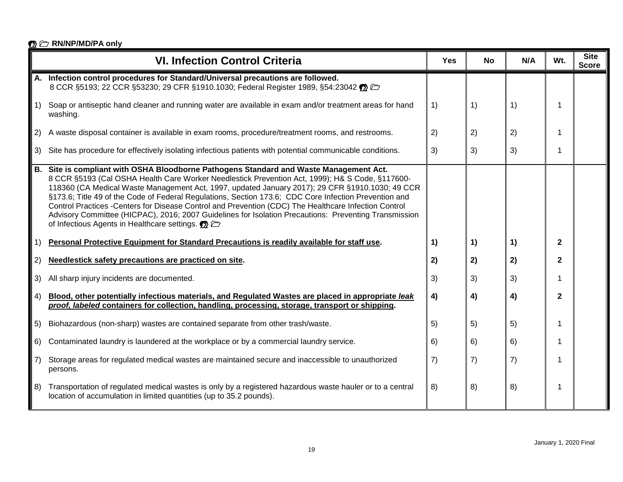|           | <b>VI. Infection Control Criteria</b>                                                                                                                                                                                                                                                                                                                                                                                                                                                                                                                                                                                                                               | <b>Yes</b> | <b>No</b> | N/A | Wt.          | <b>Site</b><br><b>Score</b> |
|-----------|---------------------------------------------------------------------------------------------------------------------------------------------------------------------------------------------------------------------------------------------------------------------------------------------------------------------------------------------------------------------------------------------------------------------------------------------------------------------------------------------------------------------------------------------------------------------------------------------------------------------------------------------------------------------|------------|-----------|-----|--------------|-----------------------------|
|           | Infection control procedures for Standard/Universal precautions are followed.<br>8 CCR §5193; 22 CCR §53230; 29 CFR §1910.1030; Federal Register 1989, §54:23042                                                                                                                                                                                                                                                                                                                                                                                                                                                                                                    |            |           |     |              |                             |
|           | Soap or antiseptic hand cleaner and running water are available in exam and/or treatment areas for hand<br>washing.                                                                                                                                                                                                                                                                                                                                                                                                                                                                                                                                                 | 1)         | 1)        | 1)  | 1            |                             |
| 2)        | A waste disposal container is available in exam rooms, procedure/treatment rooms, and restrooms.                                                                                                                                                                                                                                                                                                                                                                                                                                                                                                                                                                    | 2)         | 2)        | 2)  |              |                             |
| 3)        | Site has procedure for effectively isolating infectious patients with potential communicable conditions.                                                                                                                                                                                                                                                                                                                                                                                                                                                                                                                                                            | 3)         | 3)        | 3)  | 1            |                             |
| <b>B.</b> | Site is compliant with OSHA Bloodborne Pathogens Standard and Waste Management Act.<br>8 CCR §5193 (Cal OSHA Health Care Worker Needlestick Prevention Act, 1999); H& S Code, §117600-<br>118360 (CA Medical Waste Management Act, 1997, updated January 2017); 29 CFR §1910.1030; 49 CCR<br>§173.6; Title 49 of the Code of Federal Regulations, Section 173.6; CDC Core Infection Prevention and<br>Control Practices -Centers for Disease Control and Prevention (CDC) The Healthcare Infection Control<br>Advisory Committee (HICPAC), 2016; 2007 Guidelines for Isolation Precautions: Preventing Transmission<br>of Infectious Agents in Healthcare settings. |            |           |     |              |                             |
| 1)        | Personal Protective Equipment for Standard Precautions is readily available for staff use.                                                                                                                                                                                                                                                                                                                                                                                                                                                                                                                                                                          | 1)         | 1)        | 1)  | $\mathbf{2}$ |                             |
| 2)        | Needlestick safety precautions are practiced on site.                                                                                                                                                                                                                                                                                                                                                                                                                                                                                                                                                                                                               | 2)         | 2)        | 2)  | $\mathbf{2}$ |                             |
| 3)        | All sharp injury incidents are documented.                                                                                                                                                                                                                                                                                                                                                                                                                                                                                                                                                                                                                          | 3)         | 3)        | 3)  |              |                             |
| 4)        | Blood, other potentially infectious materials, and Regulated Wastes are placed in appropriate leak<br>proof, labeled containers for collection, handling, processing, storage, transport or shipping.                                                                                                                                                                                                                                                                                                                                                                                                                                                               | 4)         | 4)        | 4)  | 2            |                             |
| 5)        | Biohazardous (non-sharp) wastes are contained separate from other trash/waste.                                                                                                                                                                                                                                                                                                                                                                                                                                                                                                                                                                                      | 5)         | 5)        | 5)  |              |                             |
| 6)        | Contaminated laundry is laundered at the workplace or by a commercial laundry service.                                                                                                                                                                                                                                                                                                                                                                                                                                                                                                                                                                              | 6)         | 6)        | 6)  | 1            |                             |
| 7)        | Storage areas for regulated medical wastes are maintained secure and inaccessible to unauthorized<br>persons.                                                                                                                                                                                                                                                                                                                                                                                                                                                                                                                                                       | 7)         | 7)        | 7)  |              |                             |
| 8)        | Transportation of regulated medical wastes is only by a registered hazardous waste hauler or to a central<br>location of accumulation in limited quantities (up to 35.2 pounds).                                                                                                                                                                                                                                                                                                                                                                                                                                                                                    | 8)         | 8)        | 8)  | 1            |                             |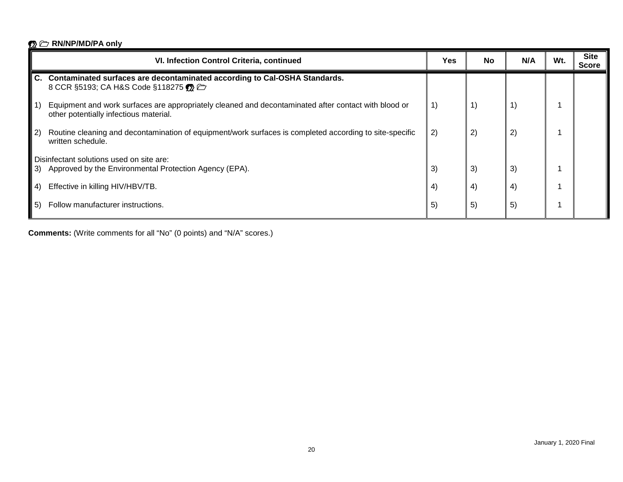|             | VI. Infection Control Criteria, continued                                                                                                      | Yes | <b>No</b> | N/A | Wt. | <b>Site</b><br><b>Score</b> |
|-------------|------------------------------------------------------------------------------------------------------------------------------------------------|-----|-----------|-----|-----|-----------------------------|
|             | C. Contaminated surfaces are decontaminated according to Cal-OSHA Standards.<br>8 CCR §5193; CA H&S Code §118275                               |     |           |     |     |                             |
|             | Equipment and work surfaces are appropriately cleaned and decontaminated after contact with blood or<br>other potentially infectious material. | 1)  | 1)        |     |     |                             |
| $ 2\rangle$ | Routine cleaning and decontamination of equipment/work surfaces is completed according to site-specific<br>written schedule.                   | 2)  | 2)        | (2) |     |                             |
| I 3).       | Disinfectant solutions used on site are:<br>Approved by the Environmental Protection Agency (EPA).                                             | 3)  | 3)        | 3)  |     |                             |
| (4)         | Effective in killing HIV/HBV/TB.                                                                                                               | 4)  | 4)        | 4)  |     |                             |
| 5)          | Follow manufacturer instructions.                                                                                                              | 5)  | 5)        | 5)  |     |                             |